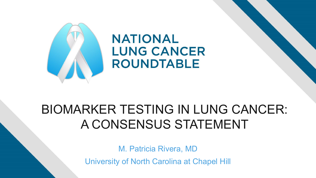

# BIOMARKER TESTING IN LUNG CANCER: A CONSENSUS STATEMENT

M. Patricia Rivera, MD

University of North Carolina at Chapel Hill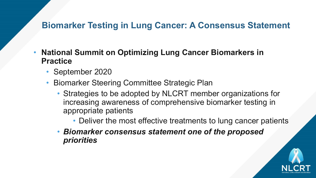- **National Summit on Optimizing Lung Cancer Biomarkers in Practice**
	- September 2020
	- Biomarker Steering Committee Strategic Plan
		- Strategies to be adopted by NLCRT member organizations for increasing awareness of comprehensive biomarker testing in appropriate patients
			- Deliver the most effective treatments to lung cancer patients
		- *Biomarker consensus statement one of the proposed priorities*

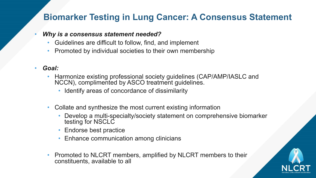#### • *Why is a consensus statement needed?*

- Guidelines are difficult to follow, find, and implement
- Promoted by individual societies to their own membership

## • *Goal:*

- Harmonize existing professional society guidelines (CAP/AMP/IASLC and NCCN), complimented by ASCO treatment guidelines.
	- Identify areas of concordance of dissimilarity
- Collate and synthesize the most current existing information
	- Develop a multi-specialty/society statement on comprehensive biomarker testing for NSCLC
	- Endorse best practice
	- Enhance communication among clinicians
- Promoted to NLCRT members, amplified by NLCRT members to their constituents, available to all

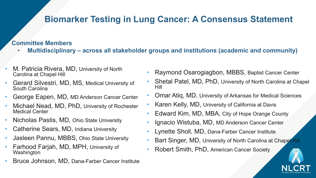### • **Committee Members**

- **Multidisciplinary – across all stakeholder groups and institutions (academic and community)**
- M. Patricia Rivera, MD, University of North Carolina at Chapel Hill
- Gerard Silvestri, MD, MS, Medical University of South Carolina
- George Eapen, MD, MD Anderson Cancer Center
- Michael Nead, MD, PhD, University of Rochester Medical Center
- Nicholas Pastis, MD, Ohio State University
- Catherine Sears, MD, Indiana University
- Jasleen Pannu, MBBS, Ohio State University
- Farhood Farjah, MD, MPH, University of **Washington**
- Bruce Johnson, MD, Dana-Farber Cancer Institute
- Raymond Osarogiagbon, MBBS, Baptist Cancer Center
- Shetal Patel, MD, PhD, University of North Carolina at Chapel Hill
- Omar Atiq, MD, University of Arkansas for Medical Sciences
- Karen Kelly, MD, University of California at Davis
- Edward Kim, MD, MBA, City of Hope Orange County
- Ignacio Wistuba, MD, MD Anderson Cancer Center
- Lynette Sholl, MD, Dana-Farber Cancer Institute
- Bart Singer, MD, University of North Carolina at Chapel Hill
- Robert Smith, PhD, American Cancer Society